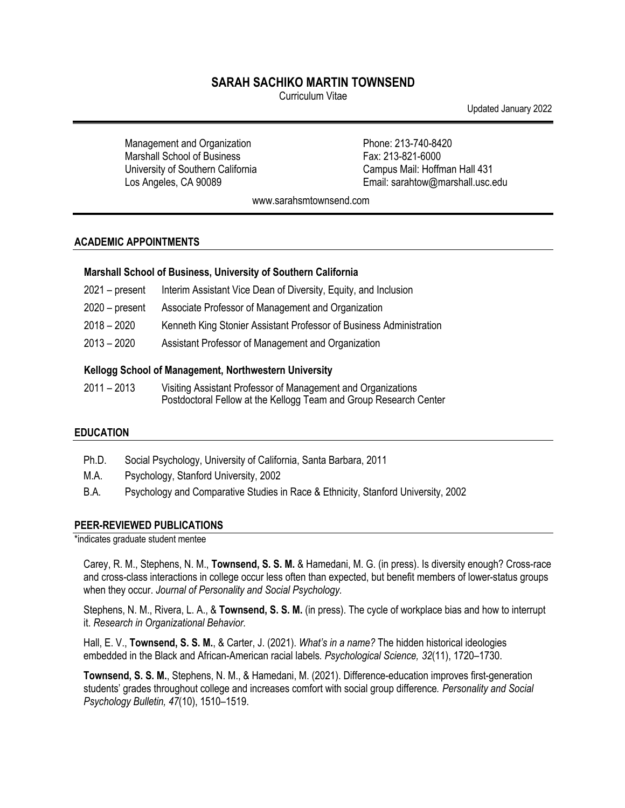# **SARAH SACHIKO MARTIN TOWNSEND**

Curriculum Vitae

Updated January 2022

Management and Organization Marshall School of Business University of Southern California Los Angeles, CA 90089

Phone: 213-740-8420 Fax: 213-821-6000 Campus Mail: Hoffman Hall 431 Email: sarahtow@marshall.usc.edu

www.sarahsmtownsend.com

## **ACADEMIC APPOINTMENTS**

### **Marshall School of Business, University of Southern California**

- 2021 present Interim Assistant Vice Dean of Diversity, Equity, and Inclusion
- 2020 present Associate Professor of Management and Organization
- 2018 2020 Kenneth King Stonier Assistant Professor of Business Administration
- 2013 2020 Assistant Professor of Management and Organization

### **Kellogg School of Management, Northwestern University**

2011 – 2013 Visiting Assistant Professor of Management and Organizations Postdoctoral Fellow at the Kellogg Team and Group Research Center

## **EDUCATION**

- Ph.D. Social Psychology, University of California, Santa Barbara, 2011
- M.A. Psychology, Stanford University, 2002
- B.A. Psychology and Comparative Studies in Race & Ethnicity, Stanford University, 2002

### **PEER-REVIEWED PUBLICATIONS**

\*indicates graduate student mentee

Carey, R. M., Stephens, N. M., **Townsend, S. S. M.** & Hamedani, M. G. (in press). Is diversity enough? Cross-race and cross-class interactions in college occur less often than expected, but benefit members of lower-status groups when they occur. *Journal of Personality and Social Psychology.* 

Stephens, N. M., Rivera, L. A., & **Townsend, S. S. M.** (in press). The cycle of workplace bias and how to interrupt it. *Research in Organizational Behavior.*

Hall, E. V., **Townsend, S. S. M.**, & Carter, J. (2021). *What's in a name?* The hidden historical ideologies embedded in the Black and African-American racial labels*. Psychological Science, 32*(11), 1720–1730.

**Townsend, S. S. M.**, Stephens, N. M., & Hamedani, M. (2021). Difference-education improves first-generation students' grades throughout college and increases comfort with social group difference*. Personality and Social Psychology Bulletin, 47*(10), 1510–1519.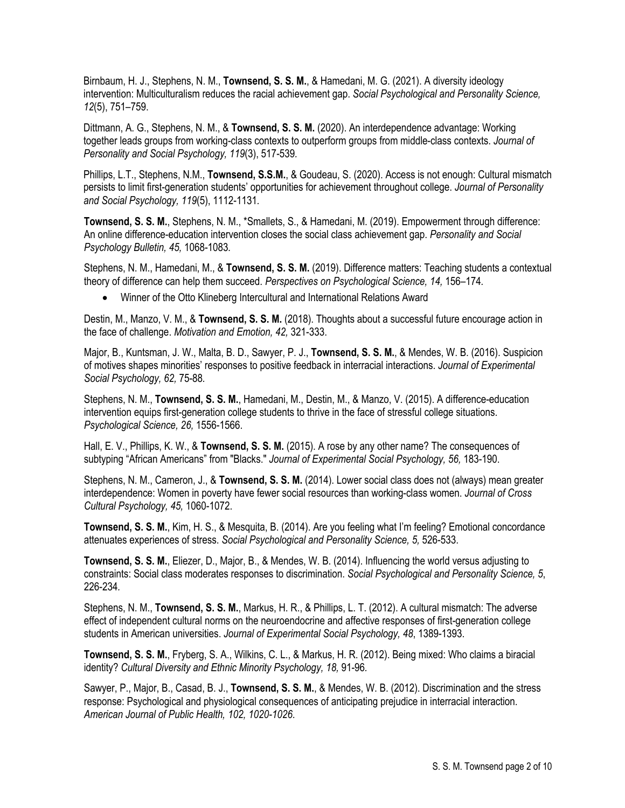Birnbaum, H. J., Stephens, N. M., **Townsend, S. S. M.**, & Hamedani, M. G. (2021). A diversity ideology intervention: Multiculturalism reduces the racial achievement gap. *Social Psychological and Personality Science, 12*(5), 751–759.

Dittmann, A. G., Stephens, N. M., & **Townsend, S. S. M.** (2020). An interdependence advantage: Working together leads groups from working-class contexts to outperform groups from middle-class contexts. *Journal of Personality and Social Psychology, 119*(3), 517-539*.* 

Phillips, L.T., Stephens, N.M., **Townsend, S.S.M.**, & Goudeau, S. (2020). Access is not enough: Cultural mismatch persists to limit first-generation students' opportunities for achievement throughout college. *Journal of Personality and Social Psychology, 119*(5), 1112-1131*.* 

**Townsend, S. S. M.**, Stephens, N. M., \*Smallets, S., & Hamedani, M. (2019). Empowerment through difference: An online difference-education intervention closes the social class achievement gap. *Personality and Social Psychology Bulletin, 45,* 1068-1083*.*

Stephens, N. M., Hamedani, M., & **Townsend, S. S. M.** (2019). Difference matters: Teaching students a contextual theory of difference can help them succeed. *Perspectives on Psychological Science, 14,* 156–174*.*

• Winner of the Otto Klineberg Intercultural and International Relations Award

Destin, M., Manzo, V. M., & **Townsend, S. S. M.** (2018). Thoughts about a successful future encourage action in the face of challenge. *Motivation and Emotion, 42,* 321-333.

Major, B., Kuntsman, J. W., Malta, B. D., Sawyer, P. J., **Townsend, S. S. M.**, & Mendes, W. B. (2016). Suspicion of motives shapes minorities' responses to positive feedback in interracial interactions. *Journal of Experimental Social Psychology, 62,* 75-88*.* 

Stephens, N. M., **Townsend, S. S. M.**, Hamedani, M., Destin, M., & Manzo, V. (2015). A difference-education intervention equips first-generation college students to thrive in the face of stressful college situations. *Psychological Science, 26,* 1556-1566.

Hall, E. V., Phillips, K. W., & **Townsend, S. S. M.** (2015). A rose by any other name? The consequences of subtyping "African Americans" from "Blacks." *Journal of Experimental Social Psychology, 56,* 183-190.

Stephens, N. M., Cameron, J., & **Townsend, S. S. M.** (2014). Lower social class does not (always) mean greater interdependence: Women in poverty have fewer social resources than working-class women. *Journal of Cross Cultural Psychology, 45,* 1060-1072.

**Townsend, S. S. M.**, Kim, H. S., & Mesquita, B. (2014). Are you feeling what I'm feeling? Emotional concordance attenuates experiences of stress. *Social Psychological and Personality Science, 5,* 526-533.

**Townsend, S. S. M.**, Eliezer, D., Major, B., & Mendes, W. B. (2014). Influencing the world versus adjusting to constraints: Social class moderates responses to discrimination. *Social Psychological and Personality Science, 5*, 226-234*.*

Stephens, N. M., **Townsend, S. S. M.**, Markus, H. R., & Phillips, L. T. (2012). A cultural mismatch: The adverse effect of independent cultural norms on the neuroendocrine and affective responses of first-generation college students in American universities. *Journal of Experimental Social Psychology, 48*, 1389-1393.

**Townsend, S. S. M.**, Fryberg, S. A., Wilkins, C. L., & Markus, H. R. (2012). Being mixed: Who claims a biracial identity? *Cultural Diversity and Ethnic Minority Psychology, 18,* 91-96*.*

Sawyer, P., Major, B., Casad, B. J., **Townsend, S. S. M.**, & Mendes, W. B. (2012). Discrimination and the stress response: Psychological and physiological consequences of anticipating prejudice in interracial interaction. *American Journal of Public Health, 102, 1020-1026*.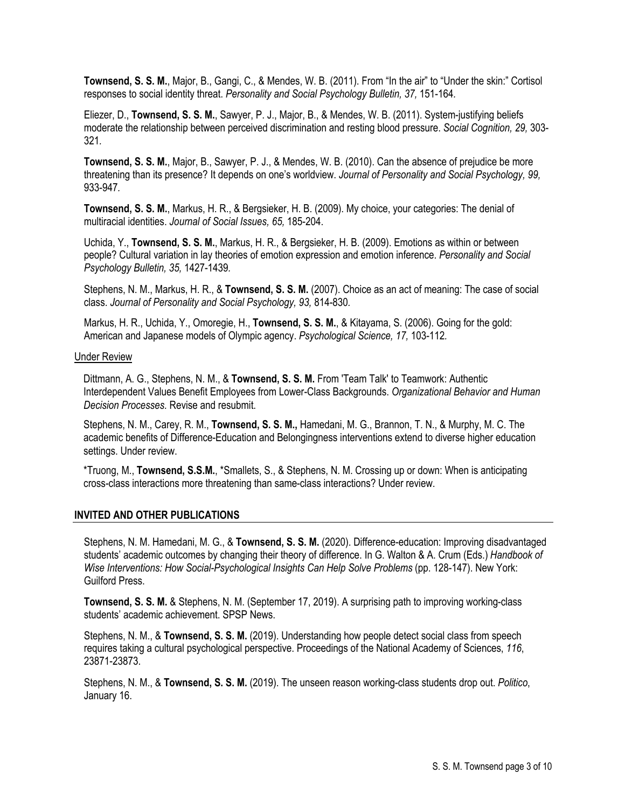**Townsend, S. S. M.**, Major, B., Gangi, C., & Mendes, W. B. (2011). From "In the air" to "Under the skin:" Cortisol responses to social identity threat. *Personality and Social Psychology Bulletin, 37,* 151-164*.*

Eliezer, D., **Townsend, S. S. M.**, Sawyer, P. J., Major, B., & Mendes, W. B. (2011). System-justifying beliefs moderate the relationship between perceived discrimination and resting blood pressure. *Social Cognition, 29,* 303- 321*.*

**Townsend, S. S. M.**, Major, B., Sawyer, P. J., & Mendes, W. B. (2010). Can the absence of prejudice be more threatening than its presence? It depends on one's worldview. *Journal of Personality and Social Psychology, 99,*  933-947*.*

**Townsend, S. S. M.**, Markus, H. R., & Bergsieker, H. B. (2009). My choice, your categories: The denial of multiracial identities. *Journal of Social Issues, 65,* 185-204.

Uchida, Y., **Townsend, S. S. M.**, Markus, H. R., & Bergsieker, H. B. (2009). Emotions as within or between people? Cultural variation in lay theories of emotion expression and emotion inference. *Personality and Social Psychology Bulletin, 35,* 1427-1439*.*

Stephens, N. M., Markus, H. R., & **Townsend, S. S. M.** (2007). Choice as an act of meaning: The case of social class. *Journal of Personality and Social Psychology, 93,* 814-830*.*

Markus, H. R., Uchida, Y., Omoregie, H., **Townsend, S. S. M.**, & Kitayama, S. (2006). Going for the gold: American and Japanese models of Olympic agency. *Psychological Science, 17,* 103-112*.*

#### Under Review

Dittmann, A. G., Stephens, N. M., & **Townsend, S. S. M.** From 'Team Talk' to Teamwork: Authentic Interdependent Values Benefit Employees from Lower-Class Backgrounds. *Organizational Behavior and Human Decision Processes.* Revise and resubmit.

Stephens, N. M., Carey, R. M., **Townsend, S. S. M.,** Hamedani, M. G., Brannon, T. N., & Murphy, M. C. The academic benefits of Difference-Education and Belongingness interventions extend to diverse higher education settings. Under review.

\*Truong, M., **Townsend, S.S.M.**, \*Smallets, S., & Stephens, N. M. Crossing up or down: When is anticipating cross-class interactions more threatening than same-class interactions? Under review.

### **INVITED AND OTHER PUBLICATIONS**

Stephens, N. M. Hamedani, M. G., & **Townsend, S. S. M.** (2020). Difference-education: Improving disadvantaged students' academic outcomes by changing their theory of difference. In G. Walton & A. Crum (Eds.) *Handbook of Wise Interventions: How Social-Psychological Insights Can Help Solve Problems* (pp. 128-147). New York: Guilford Press.

**Townsend, S. S. M.** & Stephens, N. M. (September 17, 2019). A surprising path to improving working-class students' academic achievement. SPSP News.

Stephens, N. M., & **Townsend, S. S. M.** (2019). Understanding how people detect social class from speech requires taking a cultural psychological perspective. Proceedings of the National Academy of Sciences, *116*, 23871-23873.

Stephens, N. M., & **Townsend, S. S. M.** (2019). The unseen reason working-class students drop out. *Politico*, January 16.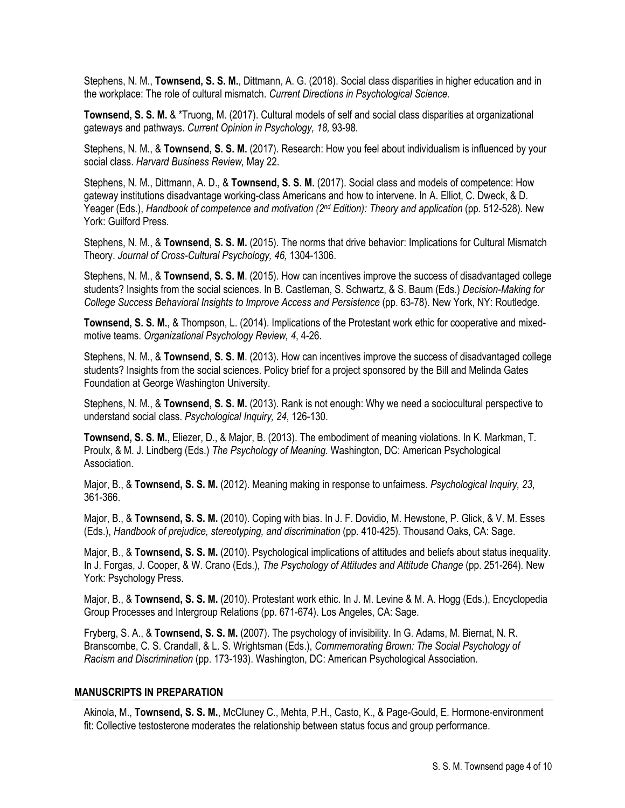Stephens, N. M., **Townsend, S. S. M.**, Dittmann, A. G. (2018). Social class disparities in higher education and in the workplace: The role of cultural mismatch. *Current Directions in Psychological Science.*

**Townsend, S. S. M.** & \*Truong, M. (2017). Cultural models of self and social class disparities at organizational gateways and pathways. *Current Opinion in Psychology, 18,* 93-98*.*

Stephens, N. M., & **Townsend, S. S. M.** (2017). Research: How you feel about individualism is influenced by your social class. *Harvard Business Review,* May 22.

Stephens, N. M., Dittmann, A. D., & **Townsend, S. S. M.** (2017). Social class and models of competence: How gateway institutions disadvantage working-class Americans and how to intervene. In A. Elliot, C. Dweck, & D. Yeager (Eds.), *Handbook of competence and motivation (2nd Edition): Theory and application* (pp. 512-528). New York: Guilford Press.

Stephens, N. M., & **Townsend, S. S. M.** (2015). The norms that drive behavior: Implications for Cultural Mismatch Theory. *Journal of Cross-Cultural Psychology, 46,* 1304-1306.

Stephens, N. M., & **Townsend, S. S. M**. (2015). How can incentives improve the success of disadvantaged college students? Insights from the social sciences. In B. Castleman, S. Schwartz, & S. Baum (Eds.) *Decision-Making for College Success Behavioral Insights to Improve Access and Persistence* (pp. 63-78). New York, NY: Routledge.

**Townsend, S. S. M.**, & Thompson, L. (2014). Implications of the Protestant work ethic for cooperative and mixedmotive teams. *Organizational Psychology Review, 4*, 4-26.

Stephens, N. M., & **Townsend, S. S. M**. (2013). How can incentives improve the success of disadvantaged college students? Insights from the social sciences. Policy brief for a project sponsored by the Bill and Melinda Gates Foundation at George Washington University.

Stephens, N. M., & **Townsend, S. S. M.** (2013). Rank is not enough: Why we need a sociocultural perspective to understand social class. *Psychological Inquiry, 24*, 126-130.

**Townsend, S. S. M.**, Eliezer, D., & Major, B. (2013). The embodiment of meaning violations. In K. Markman, T. Proulx, & M. J. Lindberg (Eds.) *The Psychology of Meaning.* Washington, DC: American Psychological Association.

Major, B., & **Townsend, S. S. M.** (2012). Meaning making in response to unfairness. *Psychological Inquiry, 23*, 361-366.

Major, B., & **Townsend, S. S. M.** (2010). Coping with bias. In J. F. Dovidio, M. Hewstone, P. Glick, & V. M. Esses (Eds.), *Handbook of prejudice, stereotyping, and discrimination* (pp. 410-425)*.* Thousand Oaks, CA: Sage.

Major, B., & **Townsend, S. S. M.** (2010). Psychological implications of attitudes and beliefs about status inequality. In J. Forgas, J. Cooper, & W. Crano (Eds.), *The Psychology of Attitudes and Attitude Change* (pp. 251-264)*.* New York: Psychology Press.

Major, B., & **Townsend, S. S. M.** (2010). Protestant work ethic. In J. M. Levine & M. A. Hogg (Eds.), Encyclopedia Group Processes and Intergroup Relations (pp. 671-674). Los Angeles, CA: Sage.

Fryberg, S. A., & **Townsend, S. S. M.** (2007). The psychology of invisibility. In G. Adams, M. Biernat, N. R. Branscombe, C. S. Crandall, & L. S. Wrightsman (Eds.), *Commemorating Brown: The Social Psychology of Racism and Discrimination* (pp. 173-193). Washington, DC: American Psychological Association.

### **MANUSCRIPTS IN PREPARATION**

Akinola, M., **Townsend, S. S. M.**, McCluney C., Mehta, P.H., Casto, K., & Page-Gould, E. Hormone-environment fit: Collective testosterone moderates the relationship between status focus and group performance.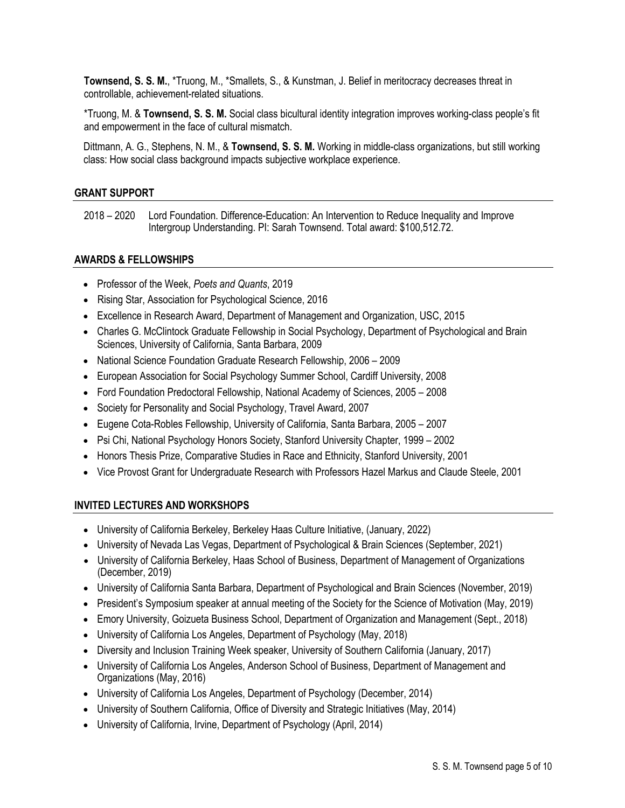**Townsend, S. S. M.**, \*Truong, M., \*Smallets, S., & Kunstman, J. Belief in meritocracy decreases threat in controllable, achievement-related situations.

\*Truong, M. & **Townsend, S. S. M.** Social class bicultural identity integration improves working-class people's fit and empowerment in the face of cultural mismatch.

Dittmann, A. G., Stephens, N. M., & **Townsend, S. S. M.** Working in middle-class organizations, but still working class: How social class background impacts subjective workplace experience.

## **GRANT SUPPORT**

2018 – 2020 Lord Foundation. Difference-Education: An Intervention to Reduce Inequality and Improve Intergroup Understanding. PI: Sarah Townsend. Total award: \$100,512.72.

### **AWARDS & FELLOWSHIPS**

- Professor of the Week, *Poets and Quants*, 2019
- Rising Star, Association for Psychological Science, 2016
- Excellence in Research Award, Department of Management and Organization, USC, 2015
- Charles G. McClintock Graduate Fellowship in Social Psychology, Department of Psychological and Brain Sciences, University of California, Santa Barbara, 2009
- National Science Foundation Graduate Research Fellowship, 2006 2009
- European Association for Social Psychology Summer School, Cardiff University, 2008
- Ford Foundation Predoctoral Fellowship, National Academy of Sciences, 2005 2008
- Society for Personality and Social Psychology, Travel Award, 2007
- Eugene Cota-Robles Fellowship, University of California, Santa Barbara, 2005 2007
- Psi Chi, National Psychology Honors Society, Stanford University Chapter, 1999 2002
- Honors Thesis Prize, Comparative Studies in Race and Ethnicity, Stanford University, 2001
- Vice Provost Grant for Undergraduate Research with Professors Hazel Markus and Claude Steele, 2001

## **INVITED LECTURES AND WORKSHOPS**

- University of California Berkeley, Berkeley Haas Culture Initiative, (January, 2022)
- University of Nevada Las Vegas, Department of Psychological & Brain Sciences (September, 2021)
- University of California Berkeley, Haas School of Business, Department of Management of Organizations (December, 2019)
- University of California Santa Barbara, Department of Psychological and Brain Sciences (November, 2019)
- President's Symposium speaker at annual meeting of the Society for the Science of Motivation (May, 2019)
- Emory University, Goizueta Business School, Department of Organization and Management (Sept., 2018)
- University of California Los Angeles, Department of Psychology (May, 2018)
- Diversity and Inclusion Training Week speaker, University of Southern California (January, 2017)
- University of California Los Angeles, Anderson School of Business, Department of Management and Organizations (May, 2016)
- University of California Los Angeles, Department of Psychology (December, 2014)
- University of Southern California, Office of Diversity and Strategic Initiatives (May, 2014)
- University of California, Irvine, Department of Psychology (April, 2014)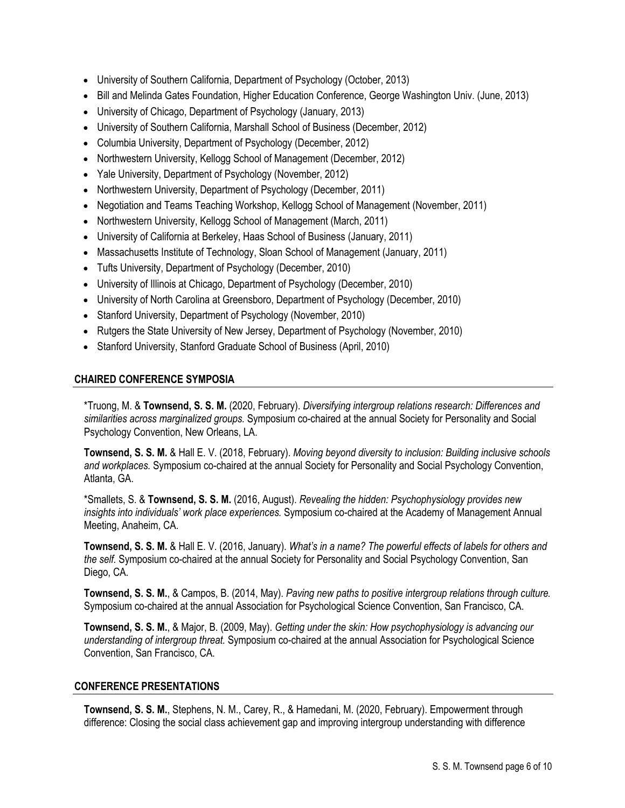- University of Southern California, Department of Psychology (October, 2013)
- Bill and Melinda Gates Foundation, Higher Education Conference, George Washington Univ. (June, 2013)
- University of Chicago, Department of Psychology (January, 2013)
- University of Southern California, Marshall School of Business (December, 2012)
- Columbia University, Department of Psychology (December, 2012)
- Northwestern University, Kellogg School of Management (December, 2012)
- Yale University, Department of Psychology (November, 2012)
- Northwestern University, Department of Psychology (December, 2011)
- Negotiation and Teams Teaching Workshop, Kellogg School of Management (November, 2011)
- Northwestern University, Kellogg School of Management (March, 2011)
- University of California at Berkeley, Haas School of Business (January, 2011)
- Massachusetts Institute of Technology, Sloan School of Management (January, 2011)
- Tufts University, Department of Psychology (December, 2010)
- University of Illinois at Chicago, Department of Psychology (December, 2010)
- University of North Carolina at Greensboro, Department of Psychology (December, 2010)
- Stanford University, Department of Psychology (November, 2010)
- Rutgers the State University of New Jersey, Department of Psychology (November, 2010)
- Stanford University, Stanford Graduate School of Business (April, 2010)

# **CHAIRED CONFERENCE SYMPOSIA**

\*Truong, M. & **Townsend, S. S. M.** (2020, February). *Diversifying intergroup relations research: Differences and similarities across marginalized groups.* Symposium co-chaired at the annual Society for Personality and Social Psychology Convention, New Orleans, LA.

**Townsend, S. S. M.** & Hall E. V. (2018, February). *Moving beyond diversity to inclusion: Building inclusive schools and workplaces.* Symposium co-chaired at the annual Society for Personality and Social Psychology Convention, Atlanta, GA.

\*Smallets, S. & **Townsend, S. S. M.** (2016, August). *Revealing the hidden: Psychophysiology provides new insights into individuals' work place experiences.* Symposium co-chaired at the Academy of Management Annual Meeting, Anaheim, CA.

**Townsend, S. S. M.** & Hall E. V. (2016, January). *What's in a name? The powerful effects of labels for others and the self.* Symposium co-chaired at the annual Society for Personality and Social Psychology Convention, San Diego, CA.

**Townsend, S. S. M.**, & Campos, B. (2014, May). *Paving new paths to positive intergroup relations through culture.* Symposium co-chaired at the annual Association for Psychological Science Convention, San Francisco, CA.

**Townsend, S. S. M.**, & Major, B. (2009, May). *Getting under the skin: How psychophysiology is advancing our understanding of intergroup threat.* Symposium co-chaired at the annual Association for Psychological Science Convention, San Francisco, CA.

## **CONFERENCE PRESENTATIONS**

**Townsend, S. S. M.**, Stephens, N. M., Carey, R., & Hamedani, M. (2020, February). Empowerment through difference: Closing the social class achievement gap and improving intergroup understanding with difference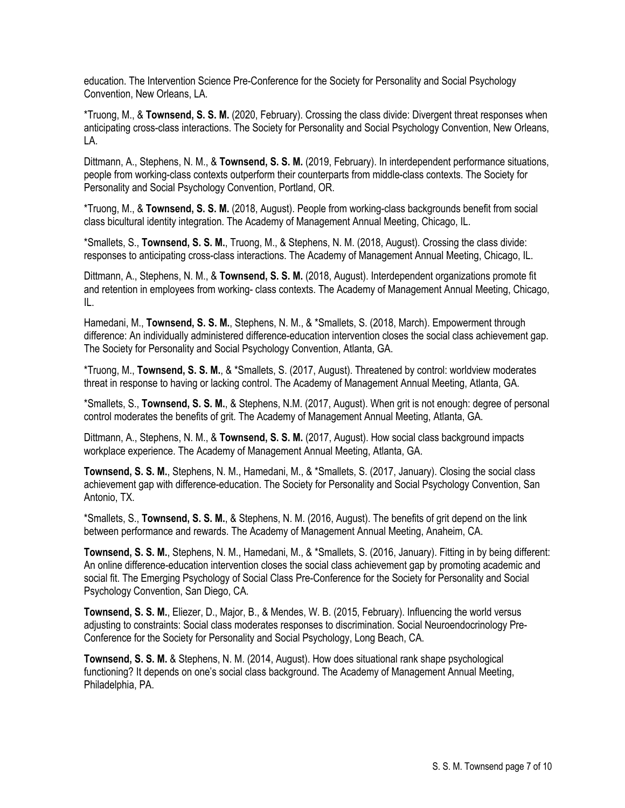education. The Intervention Science Pre-Conference for the Society for Personality and Social Psychology Convention, New Orleans, LA.

\*Truong, M., & **Townsend, S. S. M.** (2020, February). Crossing the class divide: Divergent threat responses when anticipating cross-class interactions. The Society for Personality and Social Psychology Convention, New Orleans, LA.

Dittmann, A., Stephens, N. M., & **Townsend, S. S. M.** (2019, February). In interdependent performance situations, people from working-class contexts outperform their counterparts from middle-class contexts. The Society for Personality and Social Psychology Convention, Portland, OR.

\*Truong, M., & **Townsend, S. S. M.** (2018, August). People from working-class backgrounds benefit from social class bicultural identity integration. The Academy of Management Annual Meeting, Chicago, IL.

\*Smallets, S., **Townsend, S. S. M.**, Truong, M., & Stephens, N. M. (2018, August). Crossing the class divide: responses to anticipating cross-class interactions. The Academy of Management Annual Meeting, Chicago, IL.

Dittmann, A., Stephens, N. M., & **Townsend, S. S. M.** (2018, August). Interdependent organizations promote fit and retention in employees from working- class contexts. The Academy of Management Annual Meeting, Chicago, IL.

Hamedani, M., **Townsend, S. S. M.**, Stephens, N. M., & \*Smallets, S. (2018, March). Empowerment through difference: An individually administered difference-education intervention closes the social class achievement gap. The Society for Personality and Social Psychology Convention, Atlanta, GA.

\*Truong, M., **Townsend, S. S. M.**, & \*Smallets, S. (2017, August). Threatened by control: worldview moderates threat in response to having or lacking control. The Academy of Management Annual Meeting, Atlanta, GA.

\*Smallets, S., **Townsend, S. S. M.**, & Stephens, N.M. (2017, August). When grit is not enough: degree of personal control moderates the benefits of grit. The Academy of Management Annual Meeting, Atlanta, GA.

Dittmann, A., Stephens, N. M., & **Townsend, S. S. M.** (2017, August). How social class background impacts workplace experience. The Academy of Management Annual Meeting, Atlanta, GA.

**Townsend, S. S. M.**, Stephens, N. M., Hamedani, M., & \*Smallets, S. (2017, January). Closing the social class achievement gap with difference-education. The Society for Personality and Social Psychology Convention, San Antonio, TX.

\*Smallets, S., **Townsend, S. S. M.**, & Stephens, N. M. (2016, August). The benefits of grit depend on the link between performance and rewards. The Academy of Management Annual Meeting, Anaheim, CA.

**Townsend, S. S. M.**, Stephens, N. M., Hamedani, M., & \*Smallets, S. (2016, January). Fitting in by being different: An online difference-education intervention closes the social class achievement gap by promoting academic and social fit. The Emerging Psychology of Social Class Pre-Conference for the Society for Personality and Social Psychology Convention, San Diego, CA.

**Townsend, S. S. M.**, Eliezer, D., Major, B., & Mendes, W. B. (2015, February). Influencing the world versus adjusting to constraints: Social class moderates responses to discrimination. Social Neuroendocrinology Pre-Conference for the Society for Personality and Social Psychology, Long Beach, CA.

**Townsend, S. S. M.** & Stephens, N. M. (2014, August). How does situational rank shape psychological functioning? It depends on one's social class background. The Academy of Management Annual Meeting, Philadelphia, PA.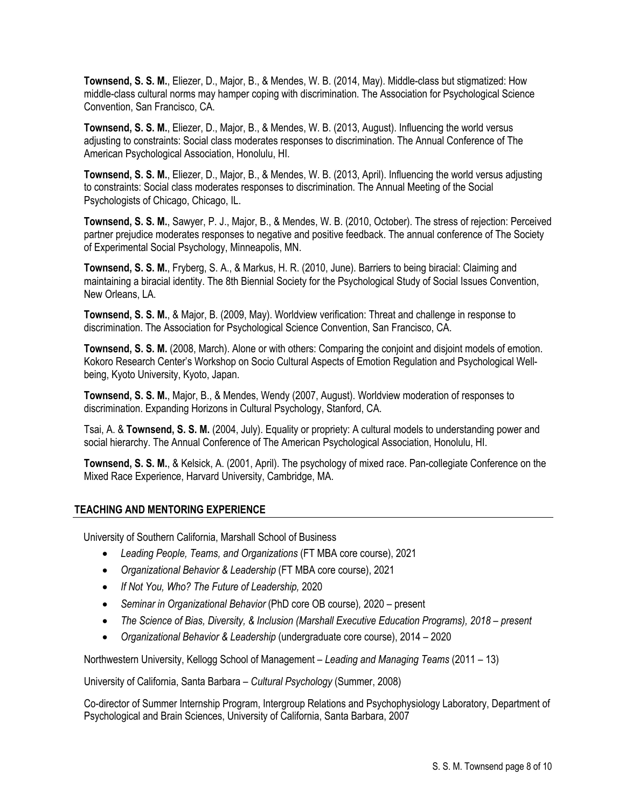**Townsend, S. S. M.**, Eliezer, D., Major, B., & Mendes, W. B. (2014, May). Middle-class but stigmatized: How middle-class cultural norms may hamper coping with discrimination. The Association for Psychological Science Convention, San Francisco, CA.

**Townsend, S. S. M.**, Eliezer, D., Major, B., & Mendes, W. B. (2013, August). Influencing the world versus adjusting to constraints: Social class moderates responses to discrimination. The Annual Conference of The American Psychological Association, Honolulu, HI.

**Townsend, S. S. M.**, Eliezer, D., Major, B., & Mendes, W. B. (2013, April). Influencing the world versus adjusting to constraints: Social class moderates responses to discrimination. The Annual Meeting of the Social Psychologists of Chicago, Chicago, IL.

**Townsend, S. S. M.**, Sawyer, P. J., Major, B., & Mendes, W. B. (2010, October). The stress of rejection: Perceived partner prejudice moderates responses to negative and positive feedback. The annual conference of The Society of Experimental Social Psychology, Minneapolis, MN.

**Townsend, S. S. M.**, Fryberg, S. A., & Markus, H. R. (2010, June). Barriers to being biracial: Claiming and maintaining a biracial identity. The 8th Biennial Society for the Psychological Study of Social Issues Convention, New Orleans, LA.

**Townsend, S. S. M.**, & Major, B. (2009, May). Worldview verification: Threat and challenge in response to discrimination. The Association for Psychological Science Convention, San Francisco, CA.

**Townsend, S. S. M.** (2008, March). Alone or with others: Comparing the conjoint and disjoint models of emotion. Kokoro Research Center's Workshop on Socio Cultural Aspects of Emotion Regulation and Psychological Wellbeing, Kyoto University, Kyoto, Japan.

**Townsend, S. S. M.**, Major, B., & Mendes, Wendy (2007, August). Worldview moderation of responses to discrimination. Expanding Horizons in Cultural Psychology, Stanford, CA.

Tsai, A. & **Townsend, S. S. M.** (2004, July). Equality or propriety: A cultural models to understanding power and social hierarchy. The Annual Conference of The American Psychological Association, Honolulu, HI.

**Townsend, S. S. M.**, & Kelsick, A. (2001, April). The psychology of mixed race. Pan-collegiate Conference on the Mixed Race Experience, Harvard University, Cambridge, MA.

# **TEACHING AND MENTORING EXPERIENCE**

University of Southern California, Marshall School of Business

- *Leading People, Teams, and Organizations* (FT MBA core course), 2021
- *Organizational Behavior & Leadership* (FT MBA core course), 2021
- *If Not You, Who? The Future of Leadership,* 2020
- *Seminar in Organizational Behavior* (PhD core OB course)*,* 2020 present
- *The Science of Bias, Diversity, & Inclusion (Marshall Executive Education Programs), 2018 – present*
- *Organizational Behavior & Leadership* (undergraduate core course), 2014 2020

Northwestern University, Kellogg School of Management – *Leading and Managing Teams* (2011 – 13)

University of California, Santa Barbara – *Cultural Psychology* (Summer, 2008)

Co-director of Summer Internship Program, Intergroup Relations and Psychophysiology Laboratory, Department of Psychological and Brain Sciences, University of California, Santa Barbara, 2007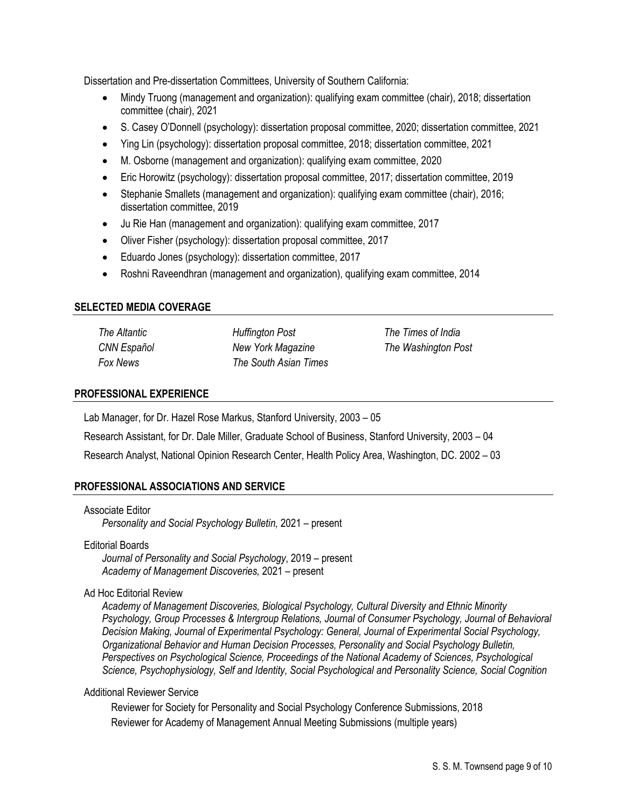Dissertation and Pre-dissertation Committees, University of Southern California:

- Mindy Truong (management and organization): qualifying exam committee (chair), 2018; dissertation committee (chair), 2021
- S. Casey O'Donnell (psychology): dissertation proposal committee, 2020; dissertation committee, 2021
- Ying Lin (psychology): dissertation proposal committee, 2018; dissertation committee, 2021
- M. Osborne (management and organization): qualifying exam committee, 2020
- Eric Horowitz (psychology): dissertation proposal committee, 2017; dissertation committee, 2019
- Stephanie Smallets (management and organization): qualifying exam committee (chair), 2016; dissertation committee, 2019
- Ju Rie Han (management and organization): qualifying exam committee, 2017
- Oliver Fisher (psychology): dissertation proposal committee, 2017
- Eduardo Jones (psychology): dissertation committee, 2017
- Roshni Raveendhran (management and organization), qualifying exam committee, 2014

## **SELECTED MEDIA COVERAGE**

| The Altantic | <b>Huffington Post</b> |
|--------------|------------------------|
| CNN Español  | New York Magazine      |
| Fox News     | The South Asian Times  |

*The Times of India The Washington Post*

## **PROFESSIONAL EXPERIENCE**

Lab Manager, for Dr. Hazel Rose Markus, Stanford University, 2003 – 05

Research Assistant, for Dr. Dale Miller, Graduate School of Business, Stanford University, 2003 – 04

Research Analyst, National Opinion Research Center, Health Policy Area, Washington, DC. 2002 – 03

## **PROFESSIONAL ASSOCIATIONS AND SERVICE**

### Associate Editor

*Personality and Social Psychology Bulletin,* 2021 – present

## Editorial Boards

*Journal of Personality and Social Psychology*, 2019 – present *Academy of Management Discoveries,* 2021 – present

## Ad Hoc Editorial Review

*Academy of Management Discoveries, Biological Psychology, Cultural Diversity and Ethnic Minority Psychology, Group Processes & Intergroup Relations, Journal of Consumer Psychology, Journal of Behavioral Decision Making, Journal of Experimental Psychology: General, Journal of Experimental Social Psychology, Organizational Behavior and Human Decision Processes, Personality and Social Psychology Bulletin, Perspectives on Psychological Science, Proceedings of the National Academy of Sciences, Psychological Science, Psychophysiology, Self and Identity, Social Psychological and Personality Science, Social Cognition*

## Additional Reviewer Service

Reviewer for Society for Personality and Social Psychology Conference Submissions, 2018 Reviewer for Academy of Management Annual Meeting Submissions (multiple years)